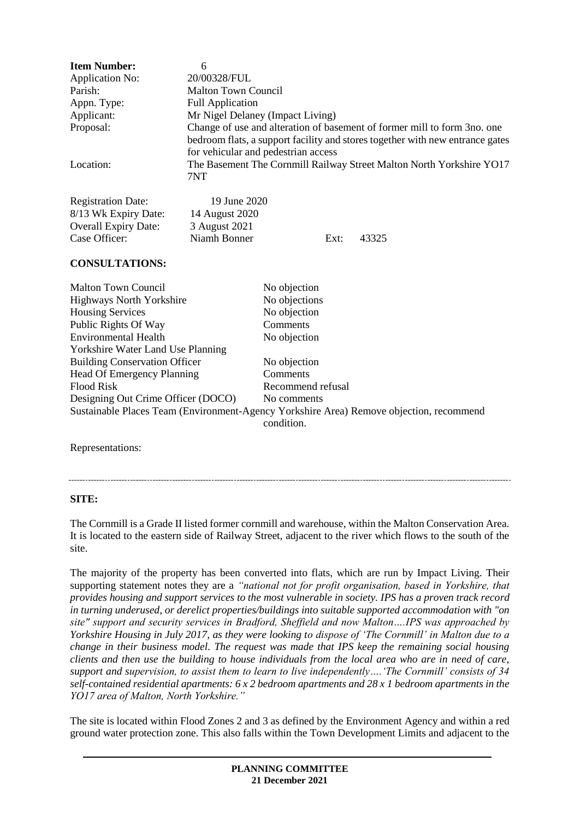| <b>Item Number:</b>         | 6                                                                                                                                                                                                |               |      |                                                                      |  |
|-----------------------------|--------------------------------------------------------------------------------------------------------------------------------------------------------------------------------------------------|---------------|------|----------------------------------------------------------------------|--|
| Application No:             | 20/00328/FUL                                                                                                                                                                                     |               |      |                                                                      |  |
| Parish:                     | <b>Malton Town Council</b>                                                                                                                                                                       |               |      |                                                                      |  |
| Appn. Type:                 | <b>Full Application</b>                                                                                                                                                                          |               |      |                                                                      |  |
| Applicant:                  | Mr Nigel Delaney (Impact Living)                                                                                                                                                                 |               |      |                                                                      |  |
| Proposal:                   | Change of use and alteration of basement of former mill to form 3no. one<br>bedroom flats, a support facility and stores together with new entrance gates<br>for vehicular and pedestrian access |               |      |                                                                      |  |
| Location:                   | 7NT                                                                                                                                                                                              |               |      | The Basement The Cornmill Railway Street Malton North Yorkshire YO17 |  |
| <b>Registration Date:</b>   | 19 June 2020                                                                                                                                                                                     |               |      |                                                                      |  |
| 8/13 Wk Expiry Date:        | 14 August 2020                                                                                                                                                                                   |               |      |                                                                      |  |
| <b>Overall Expiry Date:</b> | 3 August 2021                                                                                                                                                                                    |               |      |                                                                      |  |
| Case Officer:               | Niamh Bonner                                                                                                                                                                                     |               | Ext: | 43325                                                                |  |
| <b>CONSULTATIONS:</b>       |                                                                                                                                                                                                  |               |      |                                                                      |  |
| <b>Malton Town Council</b>  |                                                                                                                                                                                                  | No objection  |      |                                                                      |  |
| Highways North Vorkshire    |                                                                                                                                                                                                  | No objections |      |                                                                      |  |

| 11111011 101111 Council              | <b>THE OUTPORT</b>                                                                                    |  |  |
|--------------------------------------|-------------------------------------------------------------------------------------------------------|--|--|
| <b>Highways North Yorkshire</b>      | No objections                                                                                         |  |  |
| <b>Housing Services</b>              | No objection                                                                                          |  |  |
| Public Rights Of Way                 | Comments                                                                                              |  |  |
| Environmental Health                 | No objection                                                                                          |  |  |
| Yorkshire Water Land Use Planning    |                                                                                                       |  |  |
| <b>Building Conservation Officer</b> | No objection                                                                                          |  |  |
| <b>Head Of Emergency Planning</b>    | Comments                                                                                              |  |  |
| Flood Risk                           | Recommend refusal                                                                                     |  |  |
| Designing Out Crime Officer (DOCO)   | No comments                                                                                           |  |  |
|                                      | Sustainable Places Team (Environment-Agency Yorkshire Area) Remove objection, recommend<br>condition. |  |  |
|                                      |                                                                                                       |  |  |

Representations:

### **SITE:**

The Cornmill is a Grade II listed former cornmill and warehouse, within the Malton Conservation Area. It is located to the eastern side of Railway Street, adjacent to the river which flows to the south of the site.

The majority of the property has been converted into flats, which are run by Impact Living. Their supporting statement notes they are a *"national not for profit organisation, based in Yorkshire, that provides housing and support services to the most vulnerable in society. IPS has a proven track record in turning underused, or derelict properties/buildings into suitable supported accommodation with "on site" support and security services in Bradford, Sheffield and now Malton….IPS was approached by Yorkshire Housing in July 2017, as they were looking to dispose of 'The Cornmill' in Malton due to a change in their business model. The request was made that IPS keep the remaining social housing clients and then use the building to house individuals from the local area who are in need of care, support and supervision, to assist them to learn to live independently….'The Cornmill' consists of 34 self-contained residential apartments: 6 x 2 bedroom apartments and 28 x 1 bedroom apartments in the YO17 area of Malton, North Yorkshire."*

The site is located within Flood Zones 2 and 3 as defined by the Environment Agency and within a red ground water protection zone. This also falls within the Town Development Limits and adjacent to the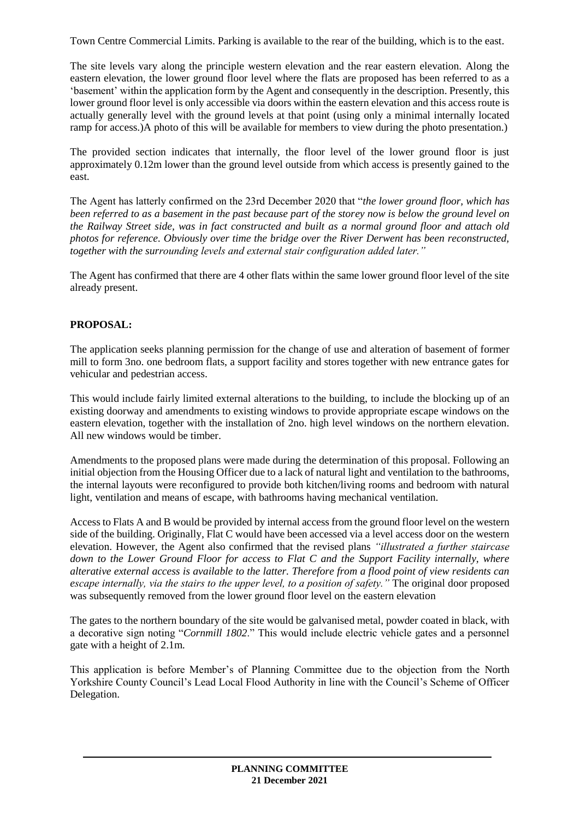Town Centre Commercial Limits. Parking is available to the rear of the building, which is to the east.

The site levels vary along the principle western elevation and the rear eastern elevation. Along the eastern elevation, the lower ground floor level where the flats are proposed has been referred to as a 'basement' within the application form by the Agent and consequently in the description. Presently, this lower ground floor level is only accessible via doors within the eastern elevation and this access route is actually generally level with the ground levels at that point (using only a minimal internally located ramp for access.)A photo of this will be available for members to view during the photo presentation.)

The provided section indicates that internally, the floor level of the lower ground floor is just approximately 0.12m lower than the ground level outside from which access is presently gained to the east.

The Agent has latterly confirmed on the 23rd December 2020 that "*the lower ground floor, which has been referred to as a basement in the past because part of the storey now is below the ground level on the Railway Street side, was in fact constructed and built as a normal ground floor and attach old photos for reference. Obviously over time the bridge over the River Derwent has been reconstructed, together with the surrounding levels and external stair configuration added later."*

The Agent has confirmed that there are 4 other flats within the same lower ground floor level of the site already present.

# **PROPOSAL:**

The application seeks planning permission for the change of use and alteration of basement of former mill to form 3no. one bedroom flats, a support facility and stores together with new entrance gates for vehicular and pedestrian access.

This would include fairly limited external alterations to the building, to include the blocking up of an existing doorway and amendments to existing windows to provide appropriate escape windows on the eastern elevation, together with the installation of 2no. high level windows on the northern elevation. All new windows would be timber.

Amendments to the proposed plans were made during the determination of this proposal. Following an initial objection from the Housing Officer due to a lack of natural light and ventilation to the bathrooms, the internal layouts were reconfigured to provide both kitchen/living rooms and bedroom with natural light, ventilation and means of escape, with bathrooms having mechanical ventilation.

Access to Flats A and B would be provided by internal access from the ground floor level on the western side of the building. Originally, Flat C would have been accessed via a level access door on the western elevation. However, the Agent also confirmed that the revised plans *"illustrated a further staircase down to the Lower Ground Floor for access to Flat C and the Support Facility internally, where alterative external access is available to the latter. Therefore from a flood point of view residents can escape internally, via the stairs to the upper level, to a position of safety."* The original door proposed was subsequently removed from the lower ground floor level on the eastern elevation

The gates to the northern boundary of the site would be galvanised metal, powder coated in black, with a decorative sign noting "*Cornmill 1802*." This would include electric vehicle gates and a personnel gate with a height of 2.1m.

This application is before Member's of Planning Committee due to the objection from the North Yorkshire County Council's Lead Local Flood Authority in line with the Council's Scheme of Officer Delegation.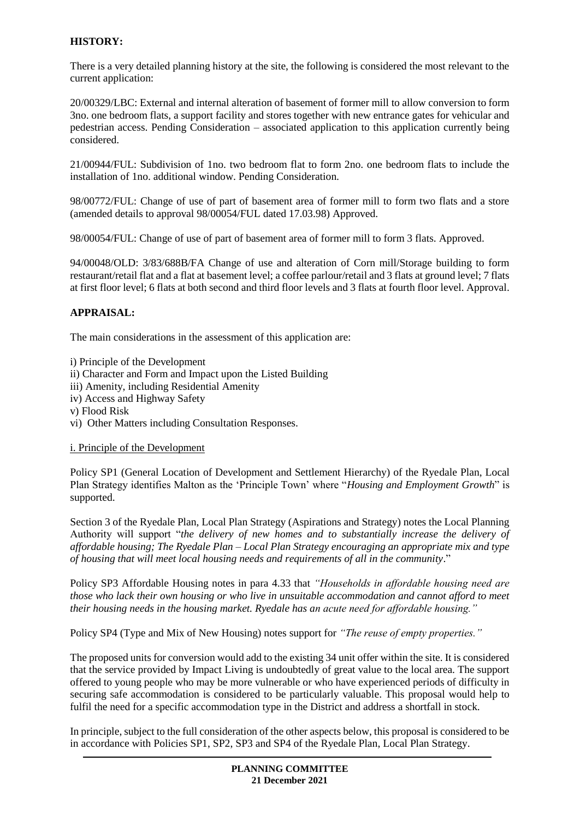## **HISTORY:**

There is a very detailed planning history at the site, the following is considered the most relevant to the current application:

20/00329/LBC: External and internal alteration of basement of former mill to allow conversion to form 3no. one bedroom flats, a support facility and stores together with new entrance gates for vehicular and pedestrian access. Pending Consideration – associated application to this application currently being considered.

21/00944/FUL: Subdivision of 1no. two bedroom flat to form 2no. one bedroom flats to include the installation of 1no. additional window. Pending Consideration.

98/00772/FUL: Change of use of part of basement area of former mill to form two flats and a store (amended details to approval 98/00054/FUL dated 17.03.98) Approved.

98/00054/FUL: Change of use of part of basement area of former mill to form 3 flats. Approved.

94/00048/OLD: 3/83/688B/FA Change of use and alteration of Corn mill/Storage building to form restaurant/retail flat and a flat at basement level; a coffee parlour/retail and 3 flats at ground level; 7 flats at first floor level; 6 flats at both second and third floor levels and 3 flats at fourth floor level. Approval.

## **APPRAISAL:**

The main considerations in the assessment of this application are:

- i) Principle of the Development
- ii) Character and Form and Impact upon the Listed Building
- iii) Amenity, including Residential Amenity
- iv) Access and Highway Safety
- v) Flood Risk
- vi) Other Matters including Consultation Responses.

#### i. Principle of the Development

Policy SP1 (General Location of Development and Settlement Hierarchy) of the Ryedale Plan, Local Plan Strategy identifies Malton as the 'Principle Town' where "*Housing and Employment Growth*" is supported.

Section 3 of the Ryedale Plan, Local Plan Strategy (Aspirations and Strategy) notes the Local Planning Authority will support "*the delivery of new homes and to substantially increase the delivery of affordable housing; The Ryedale Plan – Local Plan Strategy encouraging an appropriate mix and type of housing that will meet local housing needs and requirements of all in the community*."

Policy SP3 Affordable Housing notes in para 4.33 that *"Households in affordable housing need are those who lack their own housing or who live in unsuitable accommodation and cannot afford to meet their housing needs in the housing market. Ryedale has an acute need for affordable housing."* 

Policy SP4 (Type and Mix of New Housing) notes support for *"The reuse of empty properties."*

The proposed units for conversion would add to the existing 34 unit offer within the site. It is considered that the service provided by Impact Living is undoubtedly of great value to the local area. The support offered to young people who may be more vulnerable or who have experienced periods of difficulty in securing safe accommodation is considered to be particularly valuable. This proposal would help to fulfil the need for a specific accommodation type in the District and address a shortfall in stock.

In principle, subject to the full consideration of the other aspects below, this proposal is considered to be in accordance with Policies SP1, SP2, SP3 and SP4 of the Ryedale Plan, Local Plan Strategy.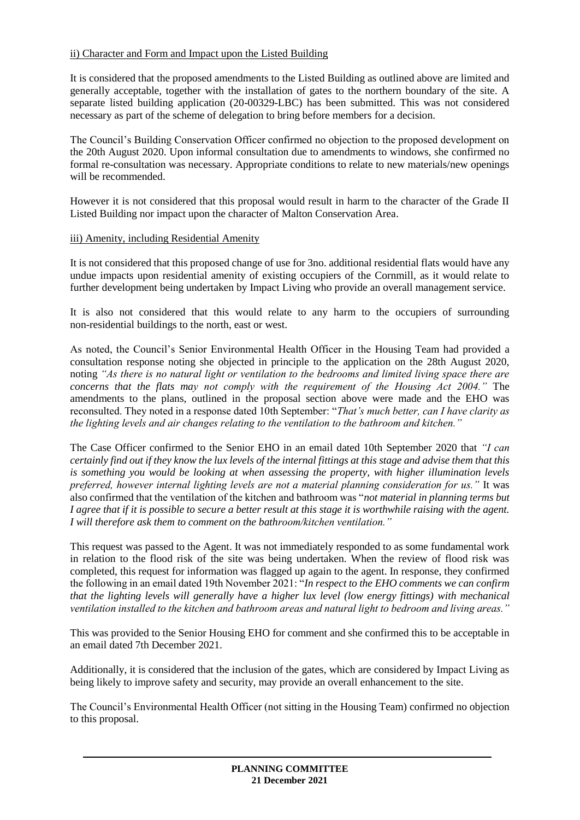## ii) Character and Form and Impact upon the Listed Building

It is considered that the proposed amendments to the Listed Building as outlined above are limited and generally acceptable, together with the installation of gates to the northern boundary of the site. A separate listed building application (20-00329-LBC) has been submitted. This was not considered necessary as part of the scheme of delegation to bring before members for a decision.

The Council's Building Conservation Officer confirmed no objection to the proposed development on the 20th August 2020. Upon informal consultation due to amendments to windows, she confirmed no formal re-consultation was necessary. Appropriate conditions to relate to new materials/new openings will be recommended.

However it is not considered that this proposal would result in harm to the character of the Grade II Listed Building nor impact upon the character of Malton Conservation Area.

### iii) Amenity, including Residential Amenity

It is not considered that this proposed change of use for 3no. additional residential flats would have any undue impacts upon residential amenity of existing occupiers of the Cornmill, as it would relate to further development being undertaken by Impact Living who provide an overall management service.

It is also not considered that this would relate to any harm to the occupiers of surrounding non-residential buildings to the north, east or west.

As noted, the Council's Senior Environmental Health Officer in the Housing Team had provided a consultation response noting she objected in principle to the application on the 28th August 2020, noting *"As there is no natural light or ventilation to the bedrooms and limited living space there are concerns that the flats may not comply with the requirement of the Housing Act 2004."* The amendments to the plans, outlined in the proposal section above were made and the EHO was reconsulted. They noted in a response dated 10th September: "*That's much better, can I have clarity as the lighting levels and air changes relating to the ventilation to the bathroom and kitchen."* 

The Case Officer confirmed to the Senior EHO in an email dated 10th September 2020 that *"I can certainly find out if they know the lux levels of the internal fittings at this stage and advise them that this is something you would be looking at when assessing the property, with higher illumination levels preferred, however internal lighting levels are not a material planning consideration for us."* It was also confirmed that the ventilation of the kitchen and bathroom was "*not material in planning terms but I agree that if it is possible to secure a better result at this stage it is worthwhile raising with the agent. I will therefore ask them to comment on the bathroom/kitchen ventilation."*

This request was passed to the Agent. It was not immediately responded to as some fundamental work in relation to the flood risk of the site was being undertaken. When the review of flood risk was completed, this request for information was flagged up again to the agent. In response, they confirmed the following in an email dated 19th November 2021: "*In respect to the EHO comments we can confirm that the lighting levels will generally have a higher lux level (low energy fittings) with mechanical ventilation installed to the kitchen and bathroom areas and natural light to bedroom and living areas."*

This was provided to the Senior Housing EHO for comment and she confirmed this to be acceptable in an email dated 7th December 2021.

Additionally, it is considered that the inclusion of the gates, which are considered by Impact Living as being likely to improve safety and security, may provide an overall enhancement to the site.

The Council's Environmental Health Officer (not sitting in the Housing Team) confirmed no objection to this proposal.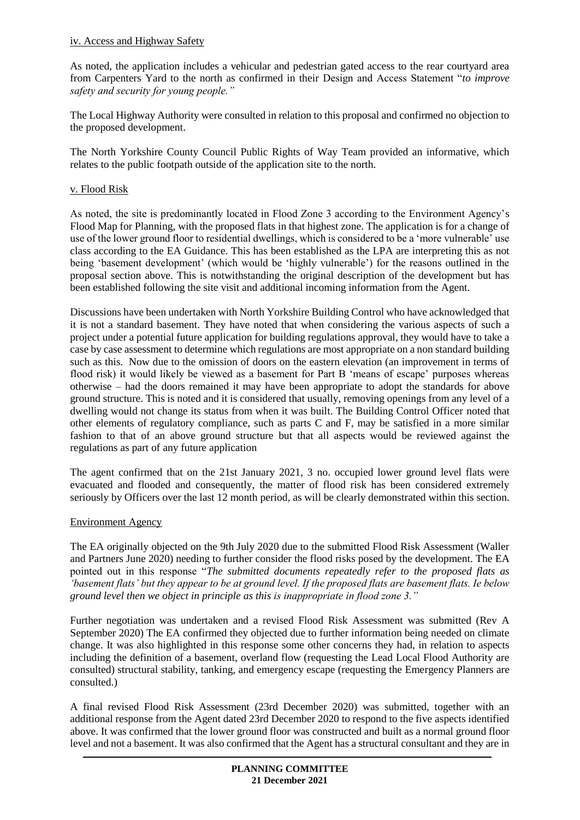#### iv. Access and Highway Safety

As noted, the application includes a vehicular and pedestrian gated access to the rear courtyard area from Carpenters Yard to the north as confirmed in their Design and Access Statement "*to improve safety and security for young people."* 

The Local Highway Authority were consulted in relation to this proposal and confirmed no objection to the proposed development.

The North Yorkshire County Council Public Rights of Way Team provided an informative, which relates to the public footpath outside of the application site to the north.

### v. Flood Risk

As noted, the site is predominantly located in Flood Zone 3 according to the Environment Agency's Flood Map for Planning, with the proposed flats in that highest zone. The application is for a change of use of the lower ground floor to residential dwellings, which is considered to be a 'more vulnerable' use class according to the EA Guidance. This has been established as the LPA are interpreting this as not being 'basement development' (which would be 'highly vulnerable') for the reasons outlined in the proposal section above. This is notwithstanding the original description of the development but has been established following the site visit and additional incoming information from the Agent.

Discussions have been undertaken with North Yorkshire Building Control who have acknowledged that it is not a standard basement. They have noted that when considering the various aspects of such a project under a potential future application for building regulations approval, they would have to take a case by case assessment to determine which regulations are most appropriate on a non standard building such as this. Now due to the omission of doors on the eastern elevation (an improvement in terms of flood risk) it would likely be viewed as a basement for Part B 'means of escape' purposes whereas otherwise – had the doors remained it may have been appropriate to adopt the standards for above ground structure. This is noted and it is considered that usually, removing openings from any level of a dwelling would not change its status from when it was built. The Building Control Officer noted that other elements of regulatory compliance, such as parts C and F, may be satisfied in a more similar fashion to that of an above ground structure but that all aspects would be reviewed against the regulations as part of any future application

The agent confirmed that on the 21st January 2021, 3 no. occupied lower ground level flats were evacuated and flooded and consequently, the matter of flood risk has been considered extremely seriously by Officers over the last 12 month period, as will be clearly demonstrated within this section.

### Environment Agency

The EA originally objected on the 9th July 2020 due to the submitted Flood Risk Assessment (Waller and Partners June 2020) needing to further consider the flood risks posed by the development. The EA pointed out in this response "*The submitted documents repeatedly refer to the proposed flats as 'basement flats' but they appear to be at ground level. If the proposed flats are basement flats. Ie below ground level then we object in principle as this is inappropriate in flood zone 3."* 

Further negotiation was undertaken and a revised Flood Risk Assessment was submitted (Rev A September 2020) The EA confirmed they objected due to further information being needed on climate change. It was also highlighted in this response some other concerns they had, in relation to aspects including the definition of a basement, overland flow (requesting the Lead Local Flood Authority are consulted) structural stability, tanking, and emergency escape (requesting the Emergency Planners are consulted.)

A final revised Flood Risk Assessment (23rd December 2020) was submitted, together with an additional response from the Agent dated 23rd December 2020 to respond to the five aspects identified above. It was confirmed that the lower ground floor was constructed and built as a normal ground floor level and not a basement. It was also confirmed that the Agent has a structural consultant and they are in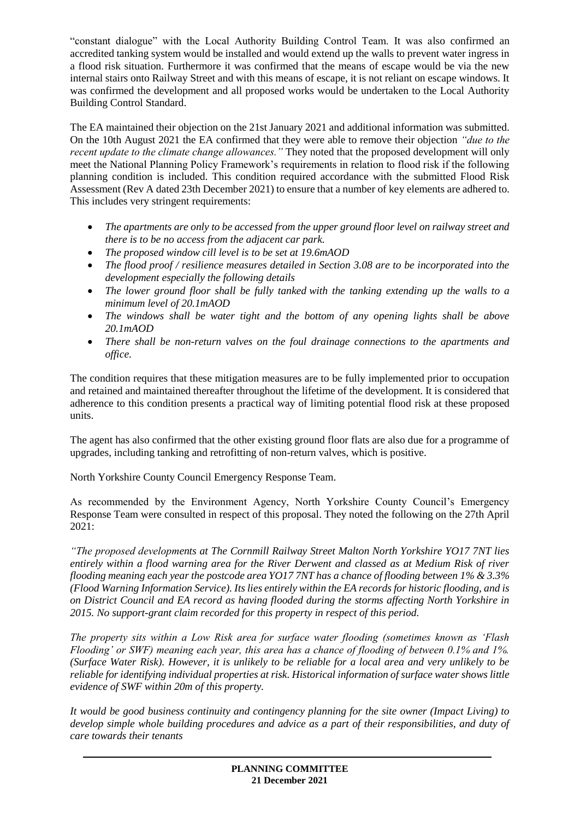"constant dialogue" with the Local Authority Building Control Team. It was also confirmed an accredited tanking system would be installed and would extend up the walls to prevent water ingress in a flood risk situation. Furthermore it was confirmed that the means of escape would be via the new internal stairs onto Railway Street and with this means of escape, it is not reliant on escape windows. It was confirmed the development and all proposed works would be undertaken to the Local Authority Building Control Standard.

The EA maintained their objection on the 21st January 2021 and additional information was submitted. On the 10th August 2021 the EA confirmed that they were able to remove their objection *"due to the recent update to the climate change allowances."* They noted that the proposed development will only meet the National Planning Policy Framework's requirements in relation to flood risk if the following planning condition is included. This condition required accordance with the submitted Flood Risk Assessment (Rev A dated 23th December 2021) to ensure that a number of key elements are adhered to. This includes very stringent requirements:

- *The apartments are only to be accessed from the upper ground floor level on railway street and there is to be no access from the adjacent car park.*
- *The proposed window cill level is to be set at 19.6mAOD*
- *The flood proof / resilience measures detailed in Section 3.08 are to be incorporated into the development especially the following details*
- *The lower ground floor shall be fully tanked with the tanking extending up the walls to a minimum level of 20.1mAOD*
- *The windows shall be water tight and the bottom of any opening lights shall be above 20.1mAOD*
- *There shall be non-return valves on the foul drainage connections to the apartments and office.*

The condition requires that these mitigation measures are to be fully implemented prior to occupation and retained and maintained thereafter throughout the lifetime of the development. It is considered that adherence to this condition presents a practical way of limiting potential flood risk at these proposed units.

The agent has also confirmed that the other existing ground floor flats are also due for a programme of upgrades, including tanking and retrofitting of non-return valves, which is positive.

North Yorkshire County Council Emergency Response Team.

As recommended by the Environment Agency, North Yorkshire County Council's Emergency Response Team were consulted in respect of this proposal. They noted the following on the 27th April 2021:

*"The proposed developments at The Cornmill Railway Street Malton North Yorkshire YO17 7NT lies entirely within a flood warning area for the River Derwent and classed as at Medium Risk of river flooding meaning each year the postcode area YO17 7NT has a chance of flooding between 1% & 3.3% (Flood Warning Information Service). Its lies entirely within the EA records for historic flooding, and is on District Council and EA record as having flooded during the storms affecting North Yorkshire in 2015. No support-grant claim recorded for this property in respect of this period.* 

*The property sits within a Low Risk area for surface water flooding (sometimes known as 'Flash Flooding' or SWF) meaning each year, this area has a chance of flooding of between 0.1% and 1%. (Surface Water Risk). However, it is unlikely to be reliable for a local area and very unlikely to be reliable for identifying individual properties at risk. Historical information of surface water shows little evidence of SWF within 20m of this property.*

*It would be good business continuity and contingency planning for the site owner (Impact Living) to develop simple whole building procedures and advice as a part of their responsibilities, and duty of care towards their tenants*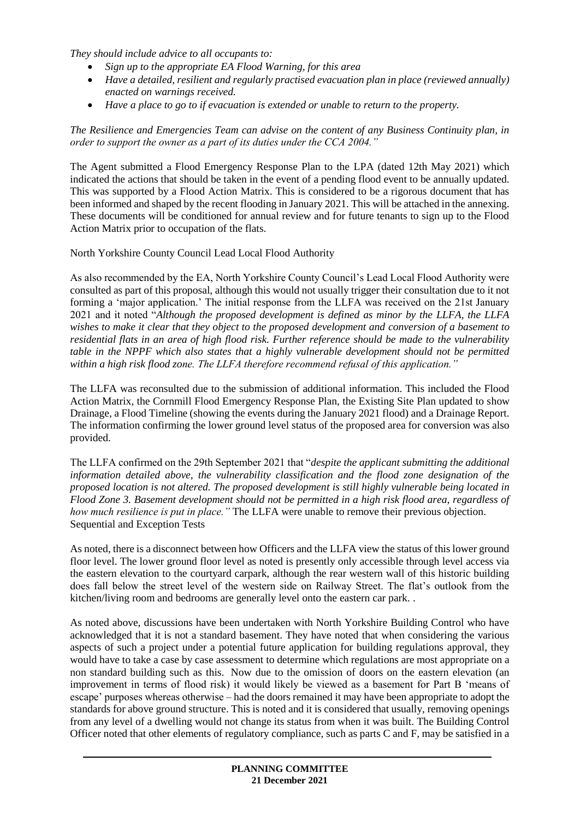*They should include advice to all occupants to:*

- *Sign up to the appropriate EA Flood Warning, for this area*
- *Have a detailed, resilient and regularly practised evacuation plan in place (reviewed annually) enacted on warnings received.*
- *Have a place to go to if evacuation is extended or unable to return to the property.*

*The Resilience and Emergencies Team can advise on the content of any Business Continuity plan, in order to support the owner as a part of its duties under the CCA 2004."*

The Agent submitted a Flood Emergency Response Plan to the LPA (dated 12th May 2021) which indicated the actions that should be taken in the event of a pending flood event to be annually updated. This was supported by a Flood Action Matrix. This is considered to be a rigorous document that has been informed and shaped by the recent flooding in January 2021. This will be attached in the annexing. These documents will be conditioned for annual review and for future tenants to sign up to the Flood Action Matrix prior to occupation of the flats.

## North Yorkshire County Council Lead Local Flood Authority

As also recommended by the EA, North Yorkshire County Council's Lead Local Flood Authority were consulted as part of this proposal, although this would not usually trigger their consultation due to it not forming a 'major application.' The initial response from the LLFA was received on the 21st January 2021 and it noted "*Although the proposed development is defined as minor by the LLFA, the LLFA wishes to make it clear that they object to the proposed development and conversion of a basement to residential flats in an area of high flood risk. Further reference should be made to the vulnerability table in the NPPF which also states that a highly vulnerable development should not be permitted within a high risk flood zone. The LLFA therefore recommend refusal of this application."*

The LLFA was reconsulted due to the submission of additional information. This included the Flood Action Matrix, the Cornmill Flood Emergency Response Plan, the Existing Site Plan updated to show Drainage, a Flood Timeline (showing the events during the January 2021 flood) and a Drainage Report. The information confirming the lower ground level status of the proposed area for conversion was also provided.

The LLFA confirmed on the 29th September 2021 that "*despite the applicant submitting the additional information detailed above, the vulnerability classification and the flood zone designation of the proposed location is not altered. The proposed development is still highly vulnerable being located in Flood Zone 3. Basement development should not be permitted in a high risk flood area, regardless of how much resilience is put in place."* The LLFA were unable to remove their previous objection. Sequential and Exception Tests

As noted, there is a disconnect between how Officers and the LLFA view the status of this lower ground floor level. The lower ground floor level as noted is presently only accessible through level access via the eastern elevation to the courtyard carpark, although the rear western wall of this historic building does fall below the street level of the western side on Railway Street. The flat's outlook from the kitchen/living room and bedrooms are generally level onto the eastern car park. .

As noted above, discussions have been undertaken with North Yorkshire Building Control who have acknowledged that it is not a standard basement. They have noted that when considering the various aspects of such a project under a potential future application for building regulations approval, they would have to take a case by case assessment to determine which regulations are most appropriate on a non standard building such as this. Now due to the omission of doors on the eastern elevation (an improvement in terms of flood risk) it would likely be viewed as a basement for Part B 'means of escape' purposes whereas otherwise – had the doors remained it may have been appropriate to adopt the standards for above ground structure. This is noted and it is considered that usually, removing openings from any level of a dwelling would not change its status from when it was built. The Building Control Officer noted that other elements of regulatory compliance, such as parts C and F, may be satisfied in a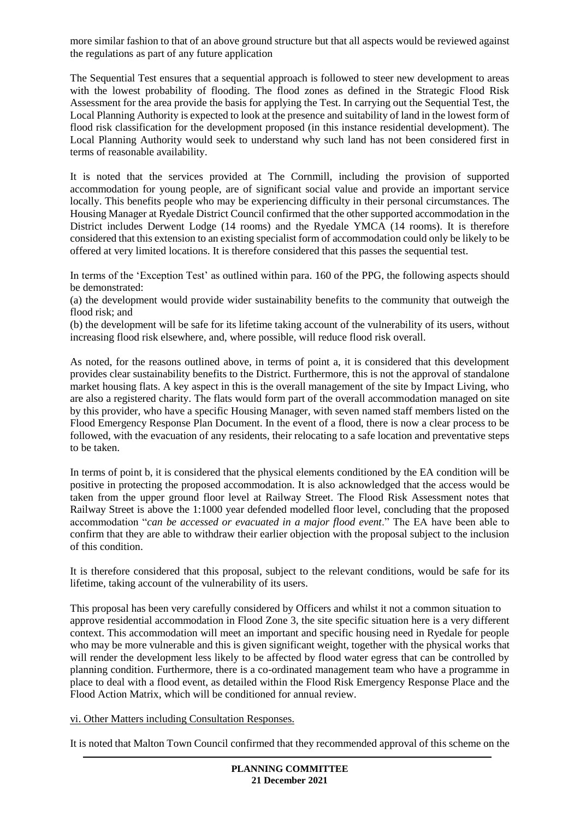more similar fashion to that of an above ground structure but that all aspects would be reviewed against the regulations as part of any future application

The Sequential Test ensures that a sequential approach is followed to steer new development to areas with the lowest probability of flooding. The flood zones as defined in the Strategic Flood Risk Assessment for the area provide the basis for applying the Test. In carrying out the Sequential Test, the Local Planning Authority is expected to look at the presence and suitability of land in the lowest form of flood risk classification for the development proposed (in this instance residential development). The Local Planning Authority would seek to understand why such land has not been considered first in terms of reasonable availability.

It is noted that the services provided at The Cornmill, including the provision of supported accommodation for young people, are of significant social value and provide an important service locally. This benefits people who may be experiencing difficulty in their personal circumstances. The Housing Manager at Ryedale District Council confirmed that the other supported accommodation in the District includes Derwent Lodge (14 rooms) and the Ryedale YMCA (14 rooms). It is therefore considered that this extension to an existing specialist form of accommodation could only be likely to be offered at very limited locations. It is therefore considered that this passes the sequential test.

In terms of the 'Exception Test' as outlined within para. 160 of the PPG, the following aspects should be demonstrated:

(a) the development would provide wider sustainability benefits to the community that outweigh the flood risk; and

(b) the development will be safe for its lifetime taking account of the vulnerability of its users, without increasing flood risk elsewhere, and, where possible, will reduce flood risk overall.

As noted, for the reasons outlined above, in terms of point a, it is considered that this development provides clear sustainability benefits to the District. Furthermore, this is not the approval of standalone market housing flats. A key aspect in this is the overall management of the site by Impact Living, who are also a registered charity. The flats would form part of the overall accommodation managed on site by this provider, who have a specific Housing Manager, with seven named staff members listed on the Flood Emergency Response Plan Document. In the event of a flood, there is now a clear process to be followed, with the evacuation of any residents, their relocating to a safe location and preventative steps to be taken.

In terms of point b, it is considered that the physical elements conditioned by the EA condition will be positive in protecting the proposed accommodation. It is also acknowledged that the access would be taken from the upper ground floor level at Railway Street. The Flood Risk Assessment notes that Railway Street is above the 1:1000 year defended modelled floor level, concluding that the proposed accommodation "*can be accessed or evacuated in a major flood event*." The EA have been able to confirm that they are able to withdraw their earlier objection with the proposal subject to the inclusion of this condition.

It is therefore considered that this proposal, subject to the relevant conditions, would be safe for its lifetime, taking account of the vulnerability of its users.

This proposal has been very carefully considered by Officers and whilst it not a common situation to approve residential accommodation in Flood Zone 3, the site specific situation here is a very different context. This accommodation will meet an important and specific housing need in Ryedale for people who may be more vulnerable and this is given significant weight, together with the physical works that will render the development less likely to be affected by flood water egress that can be controlled by planning condition. Furthermore, there is a co-ordinated management team who have a programme in place to deal with a flood event, as detailed within the Flood Risk Emergency Response Place and the Flood Action Matrix, which will be conditioned for annual review.

vi. Other Matters including Consultation Responses.

It is noted that Malton Town Council confirmed that they recommended approval of this scheme on the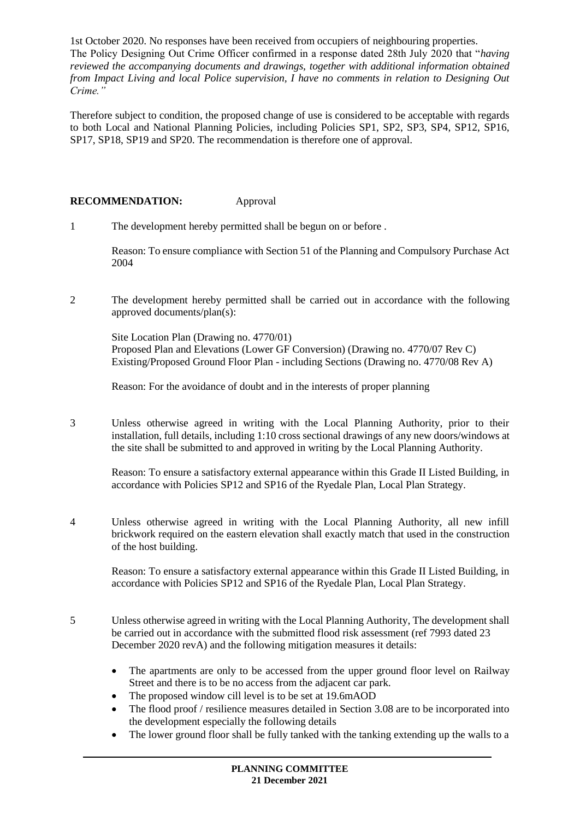1st October 2020. No responses have been received from occupiers of neighbouring properties. The Policy Designing Out Crime Officer confirmed in a response dated 28th July 2020 that "*having reviewed the accompanying documents and drawings, together with additional information obtained from Impact Living and local Police supervision, I have no comments in relation to Designing Out Crime."*

Therefore subject to condition, the proposed change of use is considered to be acceptable with regards to both Local and National Planning Policies, including Policies SP1, SP2, SP3, SP4, SP12, SP16, SP17, SP18, SP19 and SP20. The recommendation is therefore one of approval.

## **RECOMMENDATION:** Approval

1 The development hereby permitted shall be begun on or before .

Reason: To ensure compliance with Section 51 of the Planning and Compulsory Purchase Act 2004

2 The development hereby permitted shall be carried out in accordance with the following approved documents/plan(s):

Site Location Plan (Drawing no. 4770/01) Proposed Plan and Elevations (Lower GF Conversion) (Drawing no. 4770/07 Rev C) Existing/Proposed Ground Floor Plan - including Sections (Drawing no. 4770/08 Rev A)

Reason: For the avoidance of doubt and in the interests of proper planning

3 Unless otherwise agreed in writing with the Local Planning Authority, prior to their installation, full details, including 1:10 cross sectional drawings of any new doors/windows at the site shall be submitted to and approved in writing by the Local Planning Authority.

Reason: To ensure a satisfactory external appearance within this Grade II Listed Building, in accordance with Policies SP12 and SP16 of the Ryedale Plan, Local Plan Strategy.

4 Unless otherwise agreed in writing with the Local Planning Authority, all new infill brickwork required on the eastern elevation shall exactly match that used in the construction of the host building.

Reason: To ensure a satisfactory external appearance within this Grade II Listed Building, in accordance with Policies SP12 and SP16 of the Ryedale Plan, Local Plan Strategy.

- 5 Unless otherwise agreed in writing with the Local Planning Authority, The development shall be carried out in accordance with the submitted flood risk assessment (ref 7993 dated 23 December 2020 revA) and the following mitigation measures it details:
	- The apartments are only to be accessed from the upper ground floor level on Railway Street and there is to be no access from the adjacent car park.
	- The proposed window cill level is to be set at 19.6mAOD
	- The flood proof / resilience measures detailed in Section 3.08 are to be incorporated into the development especially the following details
	- The lower ground floor shall be fully tanked with the tanking extending up the walls to a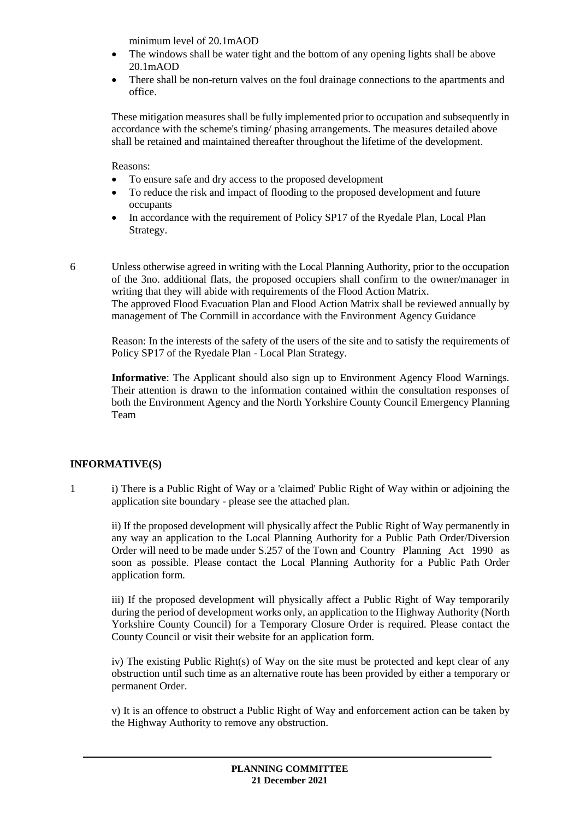minimum level of 20.1mAOD

- The windows shall be water tight and the bottom of any opening lights shall be above 20.1mAOD
- There shall be non-return valves on the foul drainage connections to the apartments and office.

These mitigation measures shall be fully implemented prior to occupation and subsequently in accordance with the scheme's timing/ phasing arrangements. The measures detailed above shall be retained and maintained thereafter throughout the lifetime of the development.

Reasons:

- To ensure safe and dry access to the proposed development
- To reduce the risk and impact of flooding to the proposed development and future occupants
- In accordance with the requirement of Policy SP17 of the Ryedale Plan, Local Plan Strategy.
- 

6 Unless otherwise agreed in writing with the Local Planning Authority, prior to the occupation of the 3no. additional flats, the proposed occupiers shall confirm to the owner/manager in writing that they will abide with requirements of the Flood Action Matrix. The approved Flood Evacuation Plan and Flood Action Matrix shall be reviewed annually by management of The Cornmill in accordance with the Environment Agency Guidance

Reason: In the interests of the safety of the users of the site and to satisfy the requirements of Policy SP17 of the Ryedale Plan - Local Plan Strategy.

**Informative**: The Applicant should also sign up to Environment Agency Flood Warnings. Their attention is drawn to the information contained within the consultation responses of both the Environment Agency and the North Yorkshire County Council Emergency Planning Team

## **INFORMATIVE(S)**

1 i) There is a Public Right of Way or a 'claimed' Public Right of Way within or adjoining the application site boundary - please see the attached plan.

ii) If the proposed development will physically affect the Public Right of Way permanently in any way an application to the Local Planning Authority for a Public Path Order/Diversion Order will need to be made under S.257 of the Town and Country Planning Act 1990 as soon as possible. Please contact the Local Planning Authority for a Public Path Order application form.

iii) If the proposed development will physically affect a Public Right of Way temporarily during the period of development works only, an application to the Highway Authority (North Yorkshire County Council) for a Temporary Closure Order is required. Please contact the County Council or visit their website for an application form.

iv) The existing Public Right(s) of Way on the site must be protected and kept clear of any obstruction until such time as an alternative route has been provided by either a temporary or permanent Order.

v) It is an offence to obstruct a Public Right of Way and enforcement action can be taken by the Highway Authority to remove any obstruction.